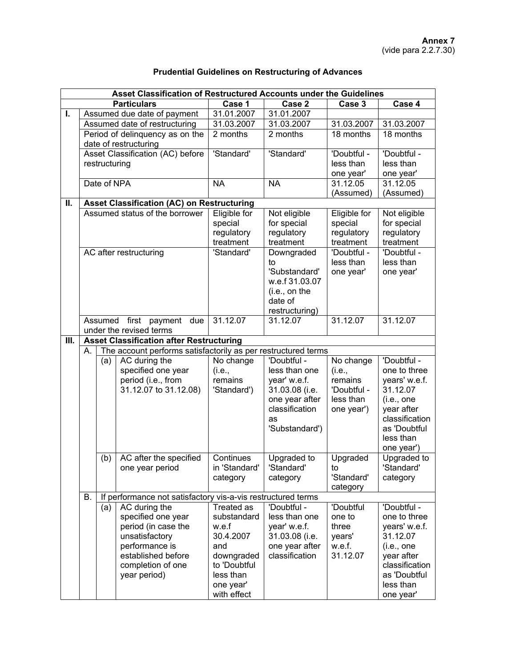|  |  |  | <b>Prudential Guidelines on Restructuring of Advances</b> |  |
|--|--|--|-----------------------------------------------------------|--|
|--|--|--|-----------------------------------------------------------|--|

|                    | Asset Classification of Restructured Accounts under the Guidelines         |               |                                                   |               |                |              |                |  |
|--------------------|----------------------------------------------------------------------------|---------------|---------------------------------------------------|---------------|----------------|--------------|----------------|--|
| <b>Particulars</b> |                                                                            |               |                                                   | Case 1        | Case 2         | Case 3       | Case 4         |  |
| $\mathbf{L}$       |                                                                            |               | Assumed due date of payment                       | 31.01.2007    | 31.01.2007     |              |                |  |
|                    |                                                                            |               | Assumed date of restructuring                     | 31.03.2007    | 31.03.2007     | 31.03.2007   | 31.03.2007     |  |
|                    |                                                                            |               | Period of delinquency as on the                   | 2 months      | 2 months       | 18 months    | 18 months      |  |
|                    |                                                                            |               | date of restructuring                             |               |                |              |                |  |
|                    |                                                                            |               | Asset Classification (AC) before                  | 'Standard'    | 'Standard'     | 'Doubtful -  | 'Doubtful -    |  |
|                    |                                                                            | restructuring |                                                   |               |                | less than    | less than      |  |
|                    |                                                                            |               |                                                   |               |                | one year'    | one year'      |  |
|                    |                                                                            | Date of NPA   |                                                   | <b>NA</b>     | <b>NA</b>      | 31.12.05     | 31.12.05       |  |
|                    |                                                                            |               |                                                   |               |                | (Assumed)    | (Assumed)      |  |
| П.                 |                                                                            |               | <b>Asset Classification (AC) on Restructuring</b> |               |                |              |                |  |
|                    |                                                                            |               | Assumed status of the borrower                    | Eligible for  | Not eligible   | Eligible for | Not eligible   |  |
|                    |                                                                            |               |                                                   | special       | for special    | special      | for special    |  |
|                    |                                                                            |               |                                                   | regulatory    | regulatory     | regulatory   | regulatory     |  |
|                    |                                                                            |               |                                                   | treatment     | treatment      | treatment    | treatment      |  |
|                    |                                                                            |               | AC after restructuring                            | 'Standard'    | Downgraded     | 'Doubtful -  | 'Doubtful -    |  |
|                    |                                                                            |               |                                                   |               | to             | less than    | less than      |  |
|                    |                                                                            |               |                                                   |               | 'Substandard'  | one year'    | one year'      |  |
|                    |                                                                            |               |                                                   |               | w.e.f 31.03.07 |              |                |  |
|                    |                                                                            |               |                                                   | (i.e., on the |                |              |                |  |
|                    |                                                                            |               |                                                   | date of       |                |              |                |  |
|                    |                                                                            |               |                                                   |               | restructuring) |              |                |  |
|                    |                                                                            | Assumed       | first payment due                                 | 31.12.07      | 31.12.07       | 31.12.07     | 31.12.07       |  |
| Ш.                 | under the revised terms<br><b>Asset Classification after Restructuring</b> |               |                                                   |               |                |              |                |  |
|                    | The account performs satisfactorily as per restructured terms<br>А.        |               |                                                   |               |                |              |                |  |
|                    |                                                                            |               | AC during the                                     | No change     | 'Doubtful -    | No change    | 'Doubtful -    |  |
|                    |                                                                            | (a)           | specified one year                                | (i.e.,        | less than one  | (i.e.,       | one to three   |  |
|                    |                                                                            |               | period (i.e., from                                | remains       | year' w.e.f.   | remains      | years' w.e.f.  |  |
|                    |                                                                            |               | 31.12.07 to 31.12.08)                             | 'Standard')   | 31.03.08 (i.e. | 'Doubtful -  | 31.12.07       |  |
|                    |                                                                            |               |                                                   |               | one year after | less than    | (i.e., one     |  |
|                    |                                                                            |               |                                                   |               | classification | one year')   | year after     |  |
|                    |                                                                            |               |                                                   |               | as             |              | classification |  |
|                    |                                                                            |               |                                                   |               | 'Substandard') |              | as 'Doubtful   |  |
|                    |                                                                            |               |                                                   |               |                |              | less than      |  |
|                    |                                                                            |               |                                                   |               |                |              | one year')     |  |
|                    |                                                                            | (b)           | AC after the specified                            | Continues     | Upgraded to    | Upgraded     | Upgraded to    |  |
|                    |                                                                            |               | one year period                                   | in 'Standard' | 'Standard'     | to           | 'Standard'     |  |
|                    |                                                                            |               |                                                   | category      | category       | 'Standard'   | category       |  |
|                    |                                                                            |               |                                                   |               |                | category     |                |  |
|                    | If performance not satisfactory vis-a-vis restructured terms<br>В.         |               |                                                   |               |                |              |                |  |
|                    |                                                                            | (a)           | AC during the                                     | Treated as    | 'Doubtful -    | 'Doubtful    | 'Doubtful -    |  |
|                    |                                                                            |               | specified one year                                | substandard   | less than one  | one to       | one to three   |  |
|                    |                                                                            |               | period (in case the                               | w.e.f         | year' w.e.f.   | three        | years' w.e.f.  |  |
|                    |                                                                            |               | unsatisfactory                                    | 30.4.2007     | 31.03.08 (i.e. | years'       | 31.12.07       |  |
|                    |                                                                            |               | performance is                                    | and           | one year after | w.e.f.       | (i.e., one     |  |
|                    |                                                                            |               | established before                                | downgraded    | classification | 31.12.07     | year after     |  |
|                    |                                                                            |               | completion of one                                 | to 'Doubtful  |                |              | classification |  |
|                    |                                                                            |               | year period)                                      | less than     |                |              | as 'Doubtful   |  |
|                    |                                                                            |               |                                                   | one year'     |                |              | less than      |  |
|                    |                                                                            |               |                                                   | with effect   |                |              | one year'      |  |